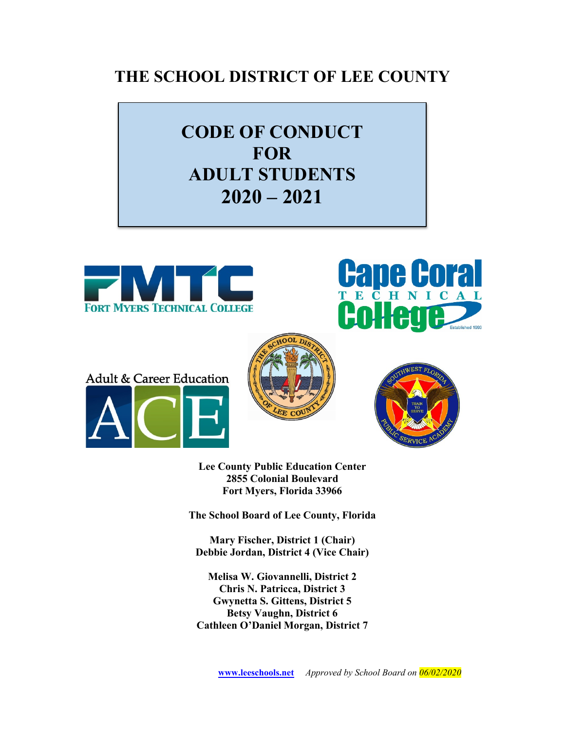# **THE SCHOOL DISTRICT OF LEE COUNTY**

# **CODE OF CONDUCT FOR ADULT STUDENTS 2020 – 2021**











**Lee County Public Education Center 2855 Colonial Boulevard Fort Myers, Florida 33966**

**The School Board of Lee County, Florida**

**Mary Fischer, District 1 (Chair) Debbie Jordan, District 4 (Vice Chair)**

**Melisa W. Giovannelli, District 2 Chris N. Patricca, District 3 Gwynetta S. Gittens, District 5 Betsy Vaughn, District 6 Cathleen O'Daniel Morgan, District 7**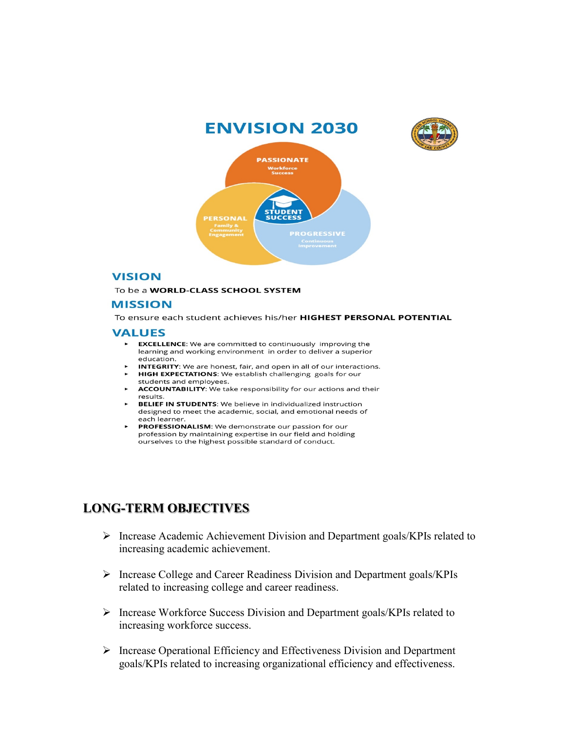

## **VISION**

To be a WORLD-CLASS SCHOOL SYSTEM

### **MISSION**

To ensure each student achieves his/her HIGHEST PERSONAL POTENTIAL

#### **VALUES**

- EXCELLENCE: We are committed to continuously improving the learning and working environment in order to deliver a superior education.
- ► INTEGRITY: We are honest, fair, and open in all of our interact<br>► HIGH EXPECTATIONS: We establish challenging goals for our students and employees. INTEGRITY: We are honest, fair, and open in all of our interactions.
- students and employees.
- **ACCOUNTABILITY:** We take responsibility for our actions and their results.
- **BELIEF IN STUDENTS:** We believe in individualized instruction designed to meet the academic, social, and emotional needs of each learner.
- PROFESSIONALISM: We demonstrate our passion for our profession by maintaining expertise in our field and holding ourselves to the highest possible standard of conduct.

# **LONG-TERM OBJECTIVES**

- $\triangleright$  Increase Academic Achievement Division and Department goals/KPIs related to increasing academic achievement.
- Increase College and Career Readiness Division and Department goals/KPIs related to increasing college and career readiness.
- $\triangleright$  Increase Workforce Success Division and Department goals/KPIs related to increasing workforce success.
- $\triangleright$  Increase Operational Efficiency and Effectiveness Division and Department goals/KPIs related to increasing organizational efficiency and effectiveness.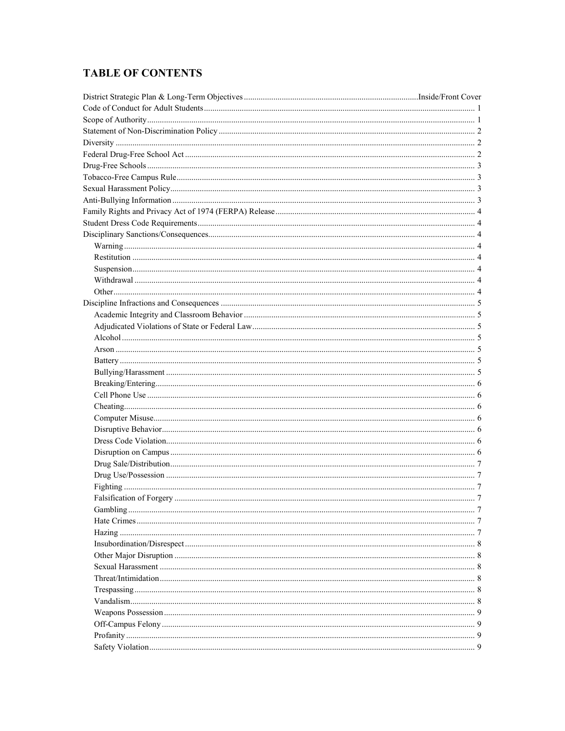# **TABLE OF CONTENTS**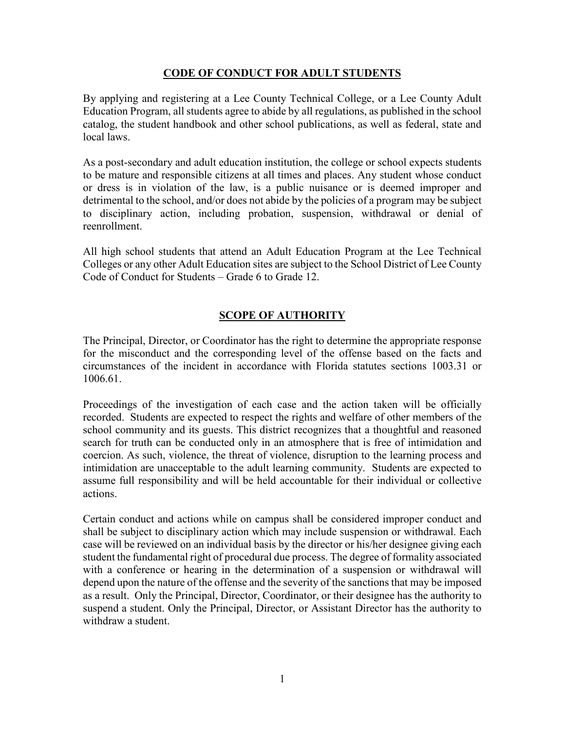# **CODE OF CONDUCT FOR ADULT STUDENTS**

By applying and registering at a Lee County Technical College, or a Lee County Adult Education Program, all students agree to abide by all regulations, as published in the school catalog, the student handbook and other school publications, as well as federal, state and local laws.

As a post-secondary and adult education institution, the college or school expects students to be mature and responsible citizens at all times and places. Any student whose conduct or dress is in violation of the law, is a public nuisance or is deemed improper and detrimental to the school, and/or does not abide by the policies of a program may be subject to disciplinary action, including probation, suspension, withdrawal or denial of reenrollment.

All high school students that attend an Adult Education Program at the Lee Technical Colleges or any other Adult Education sites are subject to the School District of Lee County Code of Conduct for Students – Grade 6 to Grade 12.

# **SCOPE OF AUTHORITY**

The Principal, Director, or Coordinator has the right to determine the appropriate response for the misconduct and the corresponding level of the offense based on the facts and circumstances of the incident in accordance with Florida statutes sections 1003.31 or 1006.61.

Proceedings of the investigation of each case and the action taken will be officially recorded. Students are expected to respect the rights and welfare of other members of the school community and its guests. This district recognizes that a thoughtful and reasoned search for truth can be conducted only in an atmosphere that is free of intimidation and coercion. As such, violence, the threat of violence, disruption to the learning process and intimidation are unacceptable to the adult learning community. Students are expected to assume full responsibility and will be held accountable for their individual or collective actions.

Certain conduct and actions while on campus shall be considered improper conduct and shall be subject to disciplinary action which may include suspension or withdrawal. Each case will be reviewed on an individual basis by the director or his/her designee giving each student the fundamental right of procedural due process. The degree of formality associated with a conference or hearing in the determination of a suspension or withdrawal will depend upon the nature of the offense and the severity of the sanctions that may be imposed as a result. Only the Principal, Director, Coordinator, or their designee has the authority to suspend a student. Only the Principal, Director, or Assistant Director has the authority to withdraw a student.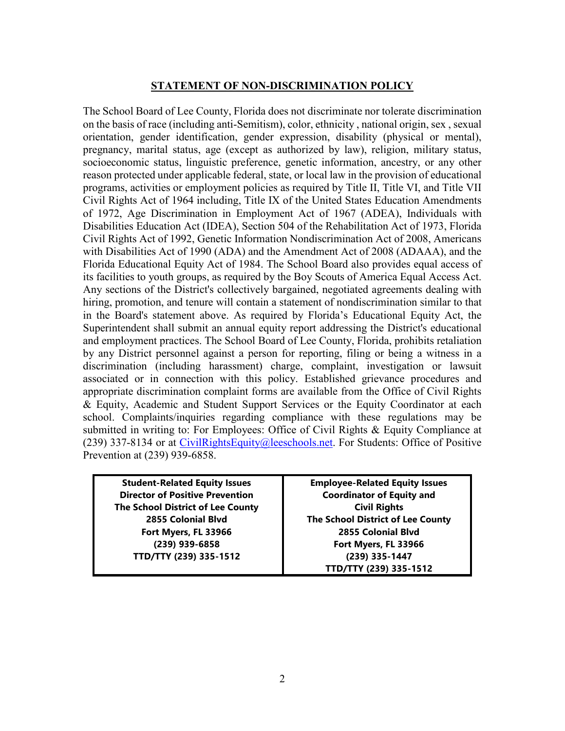## **STATEMENT OF NON-DISCRIMINATION POLICY**

The School Board of Lee County, Florida does not discriminate nor tolerate discrimination on the basis of race (including anti-Semitism), color, ethnicity , national origin, sex , sexual orientation, gender identification, gender expression, disability (physical or mental), pregnancy, marital status, age (except as authorized by law), religion, military status, socioeconomic status, linguistic preference, genetic information, ancestry, or any other reason protected under applicable federal, state, or local law in the provision of educational programs, activities or employment policies as required by Title II, Title VI, and Title VII Civil Rights Act of 1964 including, Title IX of the United States Education Amendments of 1972, Age Discrimination in Employment Act of 1967 (ADEA), Individuals with Disabilities Education Act (IDEA), Section 504 of the Rehabilitation Act of 1973, Florida Civil Rights Act of 1992, Genetic Information Nondiscrimination Act of 2008, Americans with Disabilities Act of 1990 (ADA) and the Amendment Act of 2008 (ADAAA), and the Florida Educational Equity Act of 1984. The School Board also provides equal access of its facilities to youth groups, as required by the Boy Scouts of America Equal Access Act. Any sections of the District's collectively bargained, negotiated agreements dealing with hiring, promotion, and tenure will contain a statement of nondiscrimination similar to that in the Board's statement above. As required by Florida's Educational Equity Act, the Superintendent shall submit an annual equity report addressing the District's educational and employment practices. The School Board of Lee County, Florida, prohibits retaliation by any District personnel against a person for reporting, filing or being a witness in a discrimination (including harassment) charge, complaint, investigation or lawsuit associated or in connection with this policy. Established grievance procedures and appropriate discrimination complaint forms are available from the Office of Civil Rights & Equity, Academic and Student Support Services or the Equity Coordinator at each school. Complaints/inquiries regarding compliance with these regulations may be submitted in writing to: For Employees: Office of Civil Rights & Equity Compliance at (239) 337-8134 or at [CivilRightsEquity@leeschools.net.](mailto:CivilRightsEquity@leeschools.net) For Students: Office of Positive Prevention at (239) 939-6858.

**Student-Related Equity Issues Director of Positive Prevention The School District of Lee County 2855 Colonial Blvd Fort Myers, FL 33966 (239) 939-6858 TTD/TTY (239) 335-1512**

**Employee-Related Equity Issues Coordinator of Equity and Civil Rights The School District of Lee County 2855 Colonial Blvd Fort Myers, FL 33966 (239) 335-1447 TTD/TTY (239) 335-1512**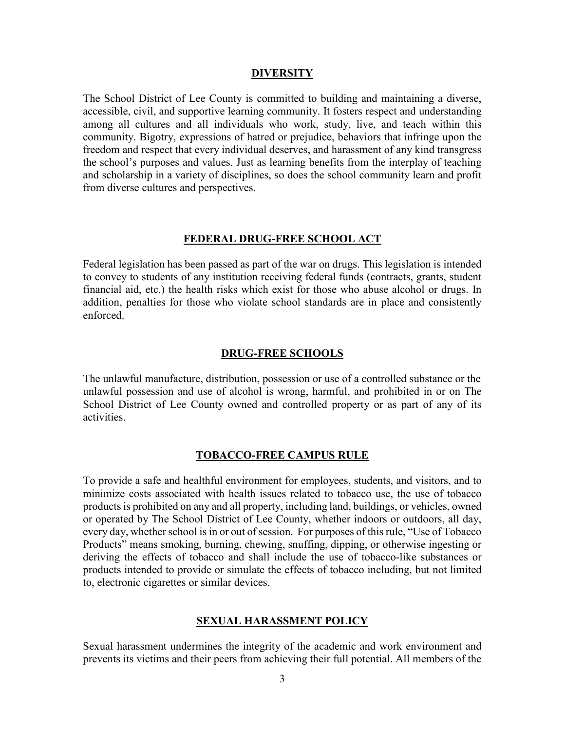#### **DIVERSITY**

The School District of Lee County is committed to building and maintaining a diverse, accessible, civil, and supportive learning community. It fosters respect and understanding among all cultures and all individuals who work, study, live, and teach within this community. Bigotry, expressions of hatred or prejudice, behaviors that infringe upon the freedom and respect that every individual deserves, and harassment of any kind transgress the school's purposes and values. Just as learning benefits from the interplay of teaching and scholarship in a variety of disciplines, so does the school community learn and profit from diverse cultures and perspectives.

#### **FEDERAL DRUG-FREE SCHOOL ACT**

Federal legislation has been passed as part of the war on drugs. This legislation is intended to convey to students of any institution receiving federal funds (contracts, grants, student financial aid, etc.) the health risks which exist for those who abuse alcohol or drugs. In addition, penalties for those who violate school standards are in place and consistently enforced.

#### **DRUG-FREE SCHOOLS**

The unlawful manufacture, distribution, possession or use of a controlled substance or the unlawful possession and use of alcohol is wrong, harmful, and prohibited in or on The School District of Lee County owned and controlled property or as part of any of its activities.

#### **TOBACCO-FREE CAMPUS RULE**

To provide a safe and healthful environment for employees, students, and visitors, and to minimize costs associated with health issues related to tobacco use, the use of tobacco products is prohibited on any and all property, including land, buildings, or vehicles, owned or operated by The School District of Lee County, whether indoors or outdoors, all day, every day, whether school is in or out of session. For purposes of this rule, "Use of Tobacco" Products" means smoking, burning, chewing, snuffing, dipping, or otherwise ingesting or deriving the effects of tobacco and shall include the use of tobacco-like substances or products intended to provide or simulate the effects of tobacco including, but not limited to, electronic cigarettes or similar devices.

#### **SEXUAL HARASSMENT POLICY**

Sexual harassment undermines the integrity of the academic and work environment and prevents its victims and their peers from achieving their full potential. All members of the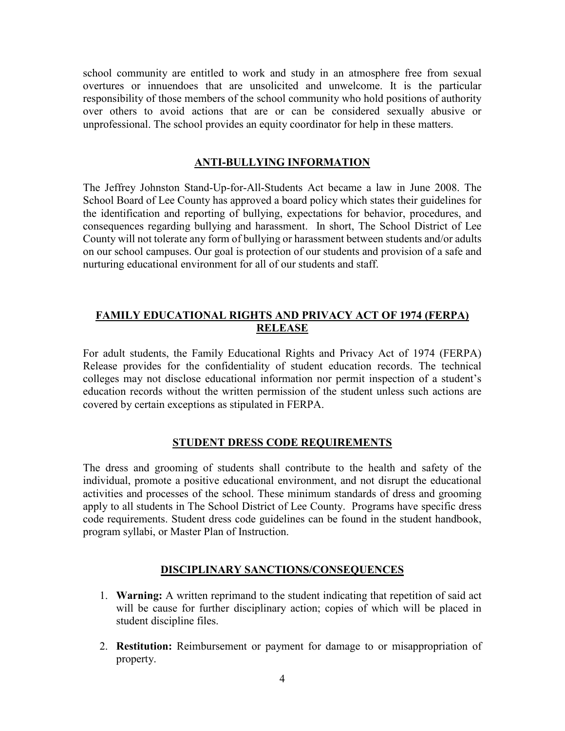school community are entitled to work and study in an atmosphere free from sexual overtures or innuendoes that are unsolicited and unwelcome. It is the particular responsibility of those members of the school community who hold positions of authority over others to avoid actions that are or can be considered sexually abusive or unprofessional. The school provides an equity coordinator for help in these matters.

# **ANTI-BULLYING INFORMATION**

The Jeffrey Johnston Stand-Up-for-All-Students Act became a law in June 2008. The School Board of Lee County has approved a board policy which states their guidelines for the identification and reporting of bullying, expectations for behavior, procedures, and consequences regarding bullying and harassment. In short, The School District of Lee County will not tolerate any form of bullying or harassment between students and/or adults on our school campuses. Our goal is protection of our students and provision of a safe and nurturing educational environment for all of our students and staff.

# **FAMILY EDUCATIONAL RIGHTS AND PRIVACY ACT OF 1974 (FERPA) RELEASE**

For adult students, the Family Educational Rights and Privacy Act of 1974 (FERPA) Release provides for the confidentiality of student education records. The technical colleges may not disclose educational information nor permit inspection of a student's education records without the written permission of the student unless such actions are covered by certain exceptions as stipulated in FERPA.

## **STUDENT DRESS CODE REQUIREMENTS**

The dress and grooming of students shall contribute to the health and safety of the individual, promote a positive educational environment, and not disrupt the educational activities and processes of the school. These minimum standards of dress and grooming apply to all students in The School District of Lee County. Programs have specific dress code requirements. Student dress code guidelines can be found in the student handbook, program syllabi, or Master Plan of Instruction.

# **DISCIPLINARY SANCTIONS/CONSEQUENCES**

- 1. **Warning:** A written reprimand to the student indicating that repetition of said act will be cause for further disciplinary action; copies of which will be placed in student discipline files.
- 2. **Restitution:** Reimbursement or payment for damage to or misappropriation of property.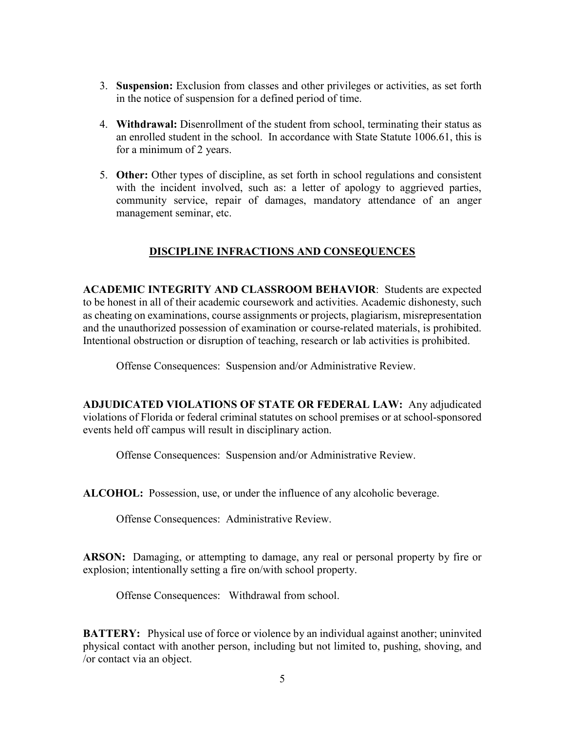- 3. **Suspension:** Exclusion from classes and other privileges or activities, as set forth in the notice of suspension for a defined period of time.
- 4. **Withdrawal:** Disenrollment of the student from school, terminating their status as an enrolled student in the school. In accordance with State Statute 1006.61, this is for a minimum of 2 years.
- 5. **Other:** Other types of discipline, as set forth in school regulations and consistent with the incident involved, such as: a letter of apology to aggrieved parties, community service, repair of damages, mandatory attendance of an anger management seminar, etc.

# **DISCIPLINE INFRACTIONS AND CONSEQUENCES**

**ACADEMIC INTEGRITY AND CLASSROOM BEHAVIOR**: Students are expected to be honest in all of their academic coursework and activities. Academic dishonesty, such as cheating on examinations, course assignments or projects, plagiarism, misrepresentation and the unauthorized possession of examination or course-related materials, is prohibited. Intentional obstruction or disruption of teaching, research or lab activities is prohibited.

Offense Consequences: Suspension and/or Administrative Review.

**ADJUDICATED VIOLATIONS OF STATE OR FEDERAL LAW:** Any adjudicated violations of Florida or federal criminal statutes on school premises or at school-sponsored events held off campus will result in disciplinary action.

Offense Consequences: Suspension and/or Administrative Review.

**ALCOHOL:** Possession, use, or under the influence of any alcoholic beverage.

Offense Consequences: Administrative Review.

**ARSON:** Damaging, or attempting to damage, any real or personal property by fire or explosion; intentionally setting a fire on/with school property.

Offense Consequences: Withdrawal from school.

**BATTERY:** Physical use of force or violence by an individual against another; uninvited physical contact with another person, including but not limited to, pushing, shoving, and /or contact via an object.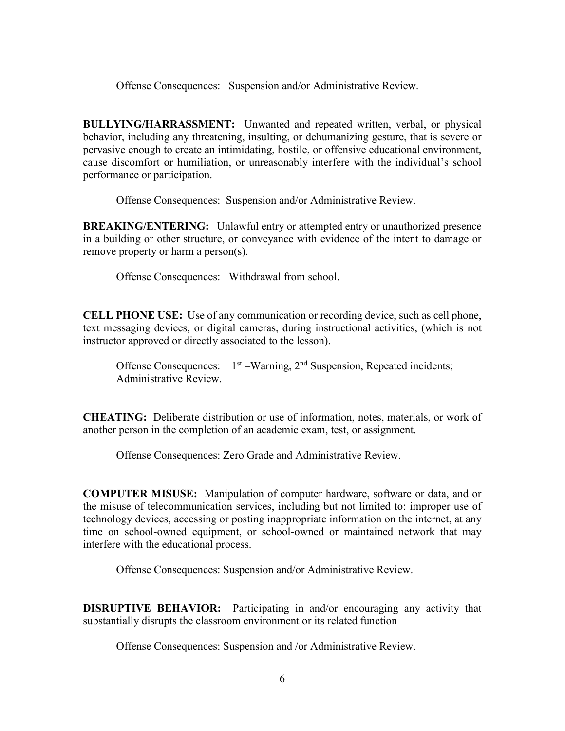Offense Consequences: Suspension and/or Administrative Review.

**BULLYING/HARRASSMENT:** Unwanted and repeated written, verbal, or physical behavior, including any threatening, insulting, or dehumanizing gesture, that is severe or pervasive enough to create an intimidating, hostile, or offensive educational environment, cause discomfort or humiliation, or unreasonably interfere with the individual's school performance or participation.

Offense Consequences: Suspension and/or Administrative Review.

**BREAKING/ENTERING:** Unlawful entry or attempted entry or unauthorized presence in a building or other structure, or conveyance with evidence of the intent to damage or remove property or harm a person(s).

Offense Consequences: Withdrawal from school.

**CELL PHONE USE:** Use of any communication or recording device, such as cell phone, text messaging devices, or digital cameras, during instructional activities, (which is not instructor approved or directly associated to the lesson).

Offense Consequences:  $1<sup>st</sup> - Warning$ ,  $2<sup>nd</sup> Suspension$ , Repeated incidents; Administrative Review.

**CHEATING:** Deliberate distribution or use of information, notes, materials, or work of another person in the completion of an academic exam, test, or assignment.

Offense Consequences: Zero Grade and Administrative Review.

**COMPUTER MISUSE:** Manipulation of computer hardware, software or data, and or the misuse of telecommunication services, including but not limited to: improper use of technology devices, accessing or posting inappropriate information on the internet, at any time on school-owned equipment, or school-owned or maintained network that may interfere with the educational process.

Offense Consequences: Suspension and/or Administrative Review.

**DISRUPTIVE BEHAVIOR:** Participating in and/or encouraging any activity that substantially disrupts the classroom environment or its related function

Offense Consequences: Suspension and /or Administrative Review.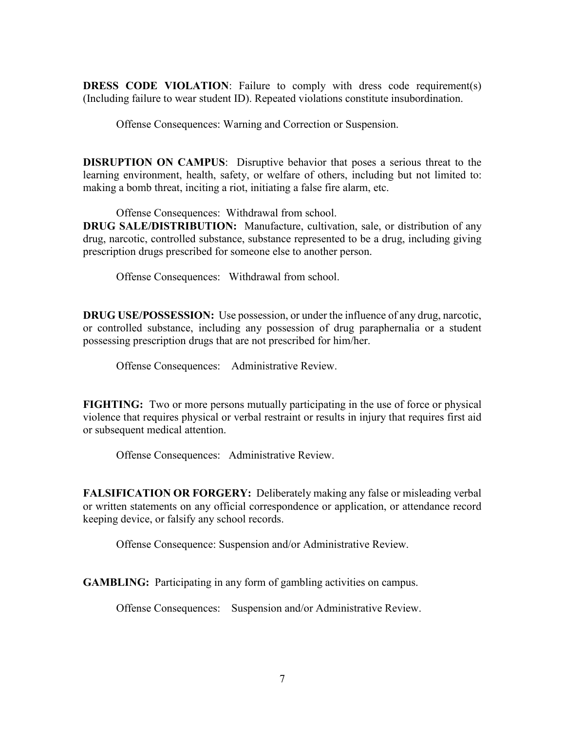**DRESS CODE VIOLATION:** Failure to comply with dress code requirement(s) (Including failure to wear student ID). Repeated violations constitute insubordination.

Offense Consequences: Warning and Correction or Suspension.

**DISRUPTION ON CAMPUS**: Disruptive behavior that poses a serious threat to the learning environment, health, safety, or welfare of others, including but not limited to: making a bomb threat, inciting a riot, initiating a false fire alarm, etc.

Offense Consequences: Withdrawal from school.

**DRUG SALE/DISTRIBUTION:** Manufacture, cultivation, sale, or distribution of any drug, narcotic, controlled substance, substance represented to be a drug, including giving prescription drugs prescribed for someone else to another person.

Offense Consequences: Withdrawal from school.

**DRUG USE/POSSESSION:** Use possession, or under the influence of any drug, narcotic, or controlled substance, including any possession of drug paraphernalia or a student possessing prescription drugs that are not prescribed for him/her.

Offense Consequences: Administrative Review.

**FIGHTING:** Two or more persons mutually participating in the use of force or physical violence that requires physical or verbal restraint or results in injury that requires first aid or subsequent medical attention.

Offense Consequences: Administrative Review.

**FALSIFICATION OR FORGERY:** Deliberately making any false or misleading verbal or written statements on any official correspondence or application, or attendance record keeping device, or falsify any school records.

Offense Consequence: Suspension and/or Administrative Review.

**GAMBLING:** Participating in any form of gambling activities on campus.

Offense Consequences: Suspension and/or Administrative Review.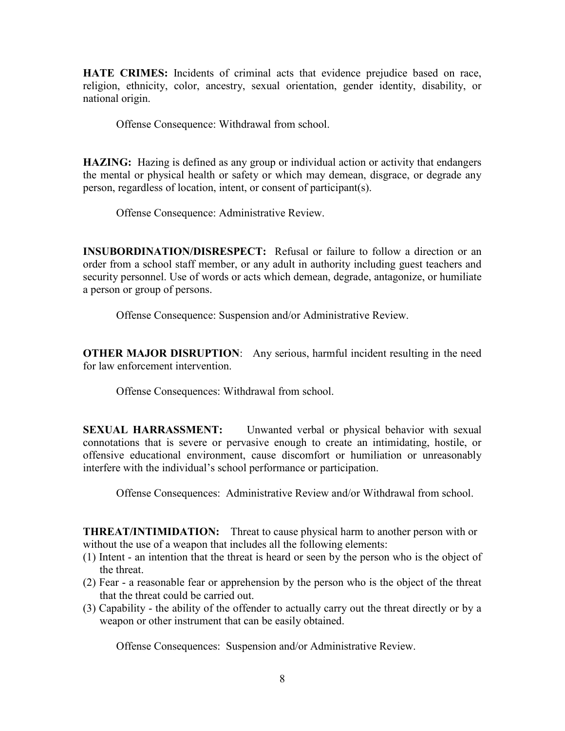**HATE CRIMES:** Incidents of criminal acts that evidence prejudice based on race, religion, ethnicity, color, ancestry, sexual orientation, gender identity, disability, or national origin.

Offense Consequence: Withdrawal from school.

**HAZING:** Hazing is defined as any group or individual action or activity that endangers the mental or physical health or safety or which may demean, disgrace, or degrade any person, regardless of location, intent, or consent of participant(s).

Offense Consequence: Administrative Review.

**INSUBORDINATION/DISRESPECT:** Refusal or failure to follow a direction or an order from a school staff member, or any adult in authority including guest teachers and security personnel. Use of words or acts which demean, degrade, antagonize, or humiliate a person or group of persons.

Offense Consequence: Suspension and/or Administrative Review.

**OTHER MAJOR DISRUPTION**: Any serious, harmful incident resulting in the need for law enforcement intervention.

Offense Consequences: Withdrawal from school.

**SEXUAL HARRASSMENT:** Unwanted verbal or physical behavior with sexual connotations that is severe or pervasive enough to create an intimidating, hostile, or offensive educational environment, cause discomfort or humiliation or unreasonably interfere with the individual's school performance or participation.

Offense Consequences: Administrative Review and/or Withdrawal from school.

**THREAT/INTIMIDATION:** Threat to cause physical harm to another person with or without the use of a weapon that includes all the following elements:

- (1) Intent an intention that the threat is heard or seen by the person who is the object of the threat.
- (2) Fear a reasonable fear or apprehension by the person who is the object of the threat that the threat could be carried out.
- (3) Capability the ability of the offender to actually carry out the threat directly or by a weapon or other instrument that can be easily obtained.

Offense Consequences: Suspension and/or Administrative Review.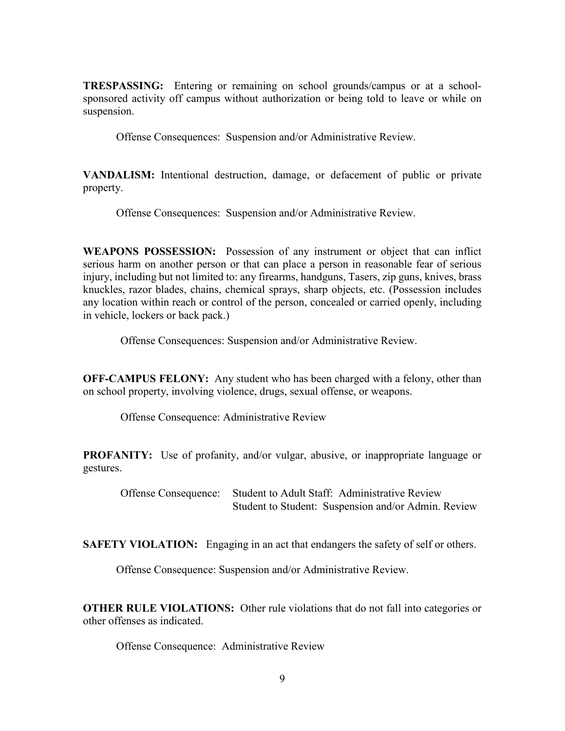**TRESPASSING:** Entering or remaining on school grounds/campus or at a schoolsponsored activity off campus without authorization or being told to leave or while on suspension.

Offense Consequences: Suspension and/or Administrative Review.

**VANDALISM:** Intentional destruction, damage, or defacement of public or private property.

Offense Consequences: Suspension and/or Administrative Review.

**WEAPONS POSSESSION:** Possession of any instrument or object that can inflict serious harm on another person or that can place a person in reasonable fear of serious injury, including but not limited to: any firearms, handguns, Tasers, zip guns, knives, brass knuckles, razor blades, chains, chemical sprays, sharp objects, etc. (Possession includes any location within reach or control of the person, concealed or carried openly, including in vehicle, lockers or back pack.)

Offense Consequences: Suspension and/or Administrative Review.

**OFF-CAMPUS FELONY:** Any student who has been charged with a felony, other than on school property, involving violence, drugs, sexual offense, or weapons.

Offense Consequence: Administrative Review

**PROFANITY:** Use of profanity, and/or vulgar, abusive, or inappropriate language or gestures.

Offense Consequence: Student to Adult Staff: Administrative Review Student to Student: Suspension and/or Admin. Review

**SAFETY VIOLATION:** Engaging in an act that endangers the safety of self or others.

Offense Consequence: Suspension and/or Administrative Review.

**OTHER RULE VIOLATIONS:** Other rule violations that do not fall into categories or other offenses as indicated.

Offense Consequence: Administrative Review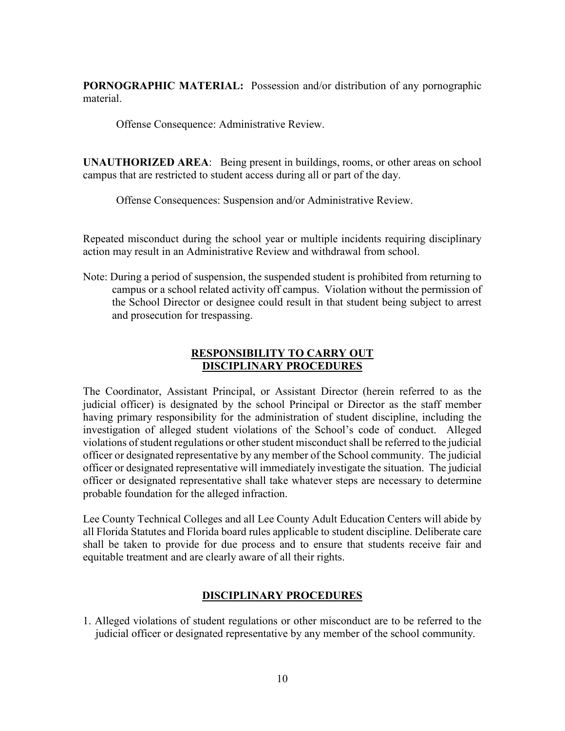**PORNOGRAPHIC MATERIAL:** Possession and/or distribution of any pornographic material.

Offense Consequence: Administrative Review.

**UNAUTHORIZED AREA**: Being present in buildings, rooms, or other areas on school campus that are restricted to student access during all or part of the day.

Offense Consequences: Suspension and/or Administrative Review.

Repeated misconduct during the school year or multiple incidents requiring disciplinary action may result in an Administrative Review and withdrawal from school.

Note: During a period of suspension, the suspended student is prohibited from returning to campus or a school related activity off campus. Violation without the permission of the School Director or designee could result in that student being subject to arrest and prosecution for trespassing.

# **RESPONSIBILITY TO CARRY OUT DISCIPLINARY PROCEDURES**

The Coordinator, Assistant Principal, or Assistant Director (herein referred to as the judicial officer) is designated by the school Principal or Director as the staff member having primary responsibility for the administration of student discipline, including the investigation of alleged student violations of the School's code of conduct. Alleged violations of student regulations or other student misconduct shall be referred to the judicial officer or designated representative by any member of the School community. The judicial officer or designated representative will immediately investigate the situation. The judicial officer or designated representative shall take whatever steps are necessary to determine probable foundation for the alleged infraction.

Lee County Technical Colleges and all Lee County Adult Education Centers will abide by all Florida Statutes and Florida board rules applicable to student discipline. Deliberate care shall be taken to provide for due process and to ensure that students receive fair and equitable treatment and are clearly aware of all their rights.

# **DISCIPLINARY PROCEDURES**

1. Alleged violations of student regulations or other misconduct are to be referred to the judicial officer or designated representative by any member of the school community.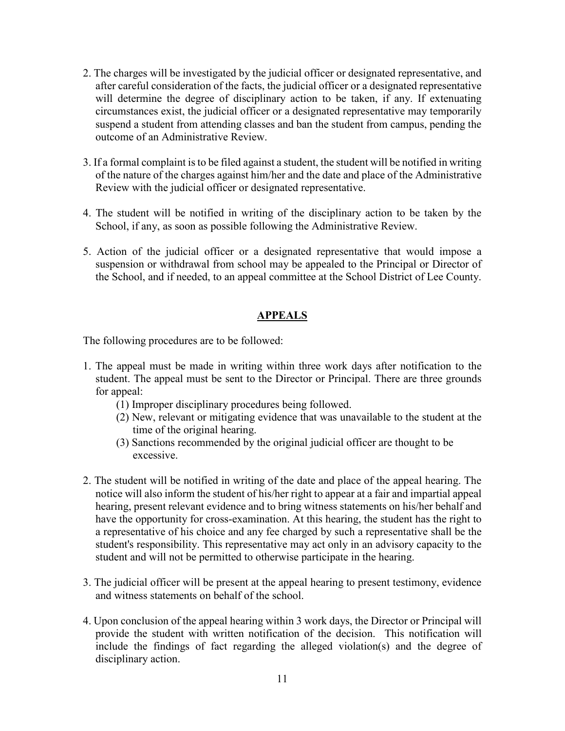- 2. The charges will be investigated by the judicial officer or designated representative, and after careful consideration of the facts, the judicial officer or a designated representative will determine the degree of disciplinary action to be taken, if any. If extenuating circumstances exist, the judicial officer or a designated representative may temporarily suspend a student from attending classes and ban the student from campus, pending the outcome of an Administrative Review.
- 3. If a formal complaint is to be filed against a student, the student will be notified in writing of the nature of the charges against him/her and the date and place of the Administrative Review with the judicial officer or designated representative.
- 4. The student will be notified in writing of the disciplinary action to be taken by the School, if any, as soon as possible following the Administrative Review.
- 5. Action of the judicial officer or a designated representative that would impose a suspension or withdrawal from school may be appealed to the Principal or Director of the School, and if needed, to an appeal committee at the School District of Lee County.

# **APPEALS**

The following procedures are to be followed:

- 1. The appeal must be made in writing within three work days after notification to the student. The appeal must be sent to the Director or Principal. There are three grounds for appeal:
	- (1) Improper disciplinary procedures being followed.
	- (2) New, relevant or mitigating evidence that was unavailable to the student at the time of the original hearing.
	- (3) Sanctions recommended by the original judicial officer are thought to be excessive.
- 2. The student will be notified in writing of the date and place of the appeal hearing. The notice will also inform the student of his/her right to appear at a fair and impartial appeal hearing, present relevant evidence and to bring witness statements on his/her behalf and have the opportunity for cross-examination. At this hearing, the student has the right to a representative of his choice and any fee charged by such a representative shall be the student's responsibility. This representative may act only in an advisory capacity to the student and will not be permitted to otherwise participate in the hearing.
- 3. The judicial officer will be present at the appeal hearing to present testimony, evidence and witness statements on behalf of the school.
- 4. Upon conclusion of the appeal hearing within 3 work days, the Director or Principal will provide the student with written notification of the decision. This notification will include the findings of fact regarding the alleged violation(s) and the degree of disciplinary action.